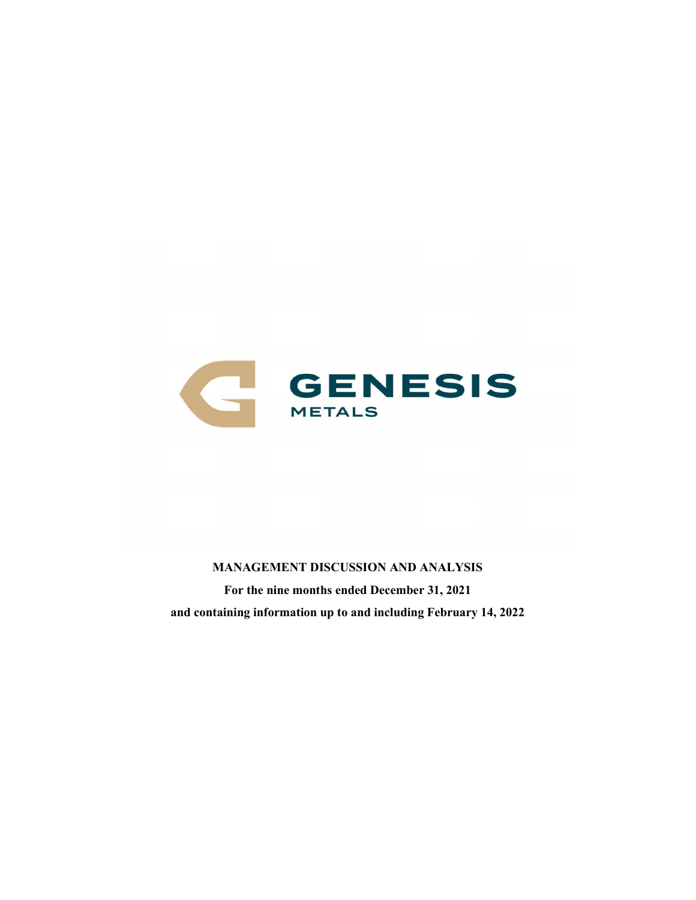

MANAGEMENT DISCUSSION AND ANALYSIS For the nine months ended December 31, 2021 and containing information up to and including February 14, 2022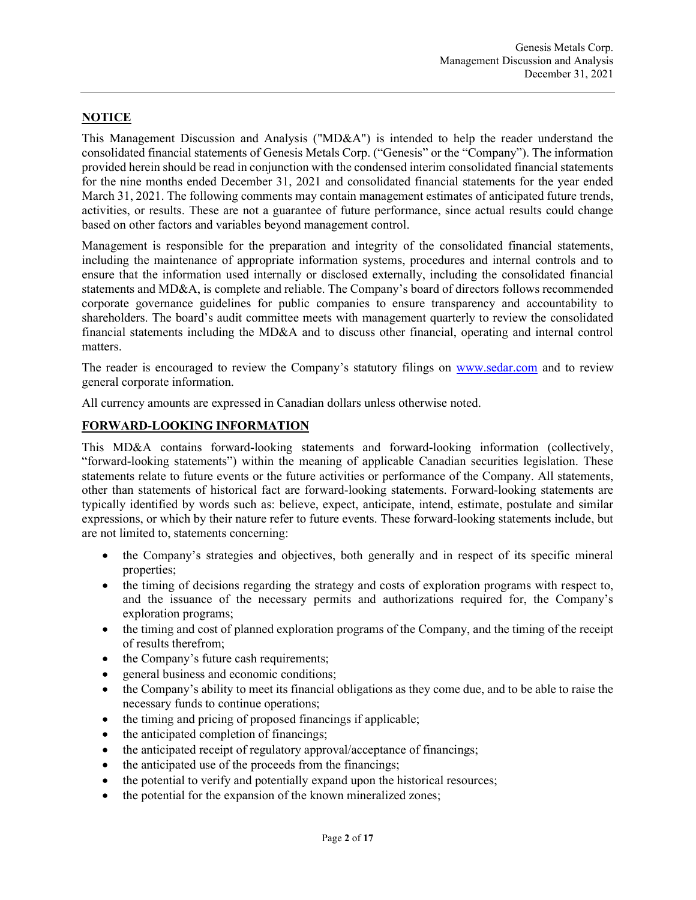# NOTICE

This Management Discussion and Analysis ("MD&A") is intended to help the reader understand the consolidated financial statements of Genesis Metals Corp. ("Genesis" or the "Company"). The information provided herein should be read in conjunction with the condensed interim consolidated financial statements for the nine months ended December 31, 2021 and consolidated financial statements for the year ended March 31, 2021. The following comments may contain management estimates of anticipated future trends, activities, or results. These are not a guarantee of future performance, since actual results could change based on other factors and variables beyond management control.

Management is responsible for the preparation and integrity of the consolidated financial statements, including the maintenance of appropriate information systems, procedures and internal controls and to ensure that the information used internally or disclosed externally, including the consolidated financial statements and MD&A, is complete and reliable. The Company's board of directors follows recommended corporate governance guidelines for public companies to ensure transparency and accountability to shareholders. The board's audit committee meets with management quarterly to review the consolidated financial statements including the MD&A and to discuss other financial, operating and internal control matters.

The reader is encouraged to review the Company's statutory filings on www.sedar.com and to review general corporate information.

All currency amounts are expressed in Canadian dollars unless otherwise noted.

#### FORWARD-LOOKING INFORMATION

This MD&A contains forward-looking statements and forward-looking information (collectively, "forward-looking statements") within the meaning of applicable Canadian securities legislation. These statements relate to future events or the future activities or performance of the Company. All statements, other than statements of historical fact are forward-looking statements. Forward-looking statements are typically identified by words such as: believe, expect, anticipate, intend, estimate, postulate and similar expressions, or which by their nature refer to future events. These forward-looking statements include, but are not limited to, statements concerning:

- the Company's strategies and objectives, both generally and in respect of its specific mineral properties;
- the timing of decisions regarding the strategy and costs of exploration programs with respect to, and the issuance of the necessary permits and authorizations required for, the Company's exploration programs;
- the timing and cost of planned exploration programs of the Company, and the timing of the receipt of results therefrom;
- the Company's future cash requirements;
- general business and economic conditions;
- the Company's ability to meet its financial obligations as they come due, and to be able to raise the necessary funds to continue operations;
- the timing and pricing of proposed financings if applicable;
- the anticipated completion of financings;
- the anticipated receipt of regulatory approval/acceptance of financings;
- the anticipated use of the proceeds from the financings;
- the potential to verify and potentially expand upon the historical resources;
- the potential for the expansion of the known mineralized zones;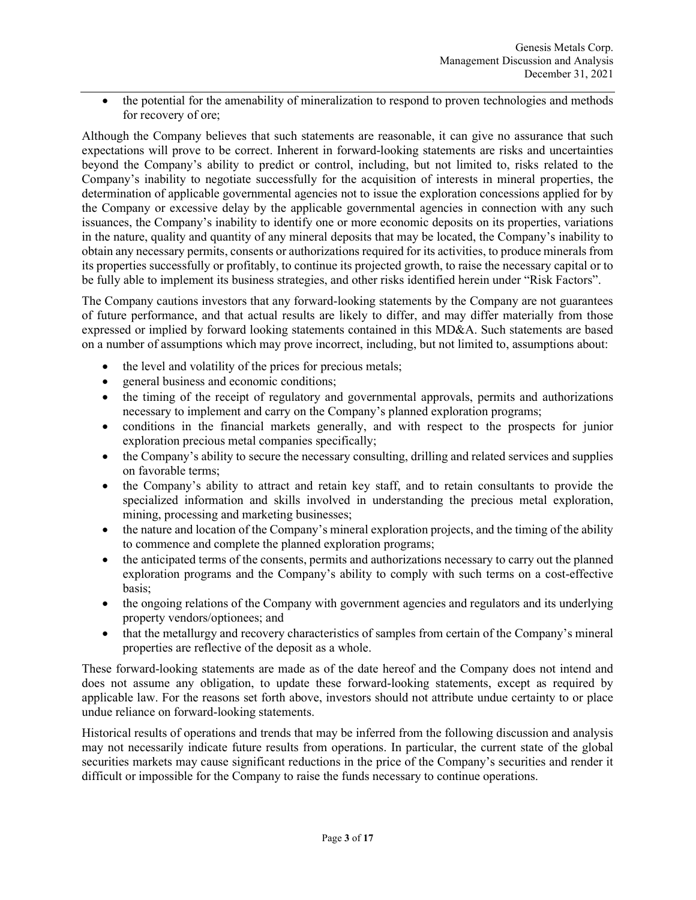• the potential for the amenability of mineralization to respond to proven technologies and methods for recovery of ore;

Although the Company believes that such statements are reasonable, it can give no assurance that such expectations will prove to be correct. Inherent in forward-looking statements are risks and uncertainties beyond the Company's ability to predict or control, including, but not limited to, risks related to the Company's inability to negotiate successfully for the acquisition of interests in mineral properties, the determination of applicable governmental agencies not to issue the exploration concessions applied for by the Company or excessive delay by the applicable governmental agencies in connection with any such issuances, the Company's inability to identify one or more economic deposits on its properties, variations in the nature, quality and quantity of any mineral deposits that may be located, the Company's inability to obtain any necessary permits, consents or authorizations required for its activities, to produce minerals from its properties successfully or profitably, to continue its projected growth, to raise the necessary capital or to be fully able to implement its business strategies, and other risks identified herein under "Risk Factors".

The Company cautions investors that any forward-looking statements by the Company are not guarantees of future performance, and that actual results are likely to differ, and may differ materially from those expressed or implied by forward looking statements contained in this MD&A. Such statements are based on a number of assumptions which may prove incorrect, including, but not limited to, assumptions about:

- the level and volatility of the prices for precious metals;
- general business and economic conditions;
- the timing of the receipt of regulatory and governmental approvals, permits and authorizations necessary to implement and carry on the Company's planned exploration programs;
- conditions in the financial markets generally, and with respect to the prospects for junior exploration precious metal companies specifically;
- the Company's ability to secure the necessary consulting, drilling and related services and supplies on favorable terms;
- the Company's ability to attract and retain key staff, and to retain consultants to provide the specialized information and skills involved in understanding the precious metal exploration, mining, processing and marketing businesses;
- the nature and location of the Company's mineral exploration projects, and the timing of the ability to commence and complete the planned exploration programs;
- the anticipated terms of the consents, permits and authorizations necessary to carry out the planned exploration programs and the Company's ability to comply with such terms on a cost-effective basis;
- the ongoing relations of the Company with government agencies and regulators and its underlying property vendors/optionees; and
- that the metallurgy and recovery characteristics of samples from certain of the Company's mineral properties are reflective of the deposit as a whole.

These forward-looking statements are made as of the date hereof and the Company does not intend and does not assume any obligation, to update these forward-looking statements, except as required by applicable law. For the reasons set forth above, investors should not attribute undue certainty to or place undue reliance on forward-looking statements.

Historical results of operations and trends that may be inferred from the following discussion and analysis may not necessarily indicate future results from operations. In particular, the current state of the global securities markets may cause significant reductions in the price of the Company's securities and render it difficult or impossible for the Company to raise the funds necessary to continue operations.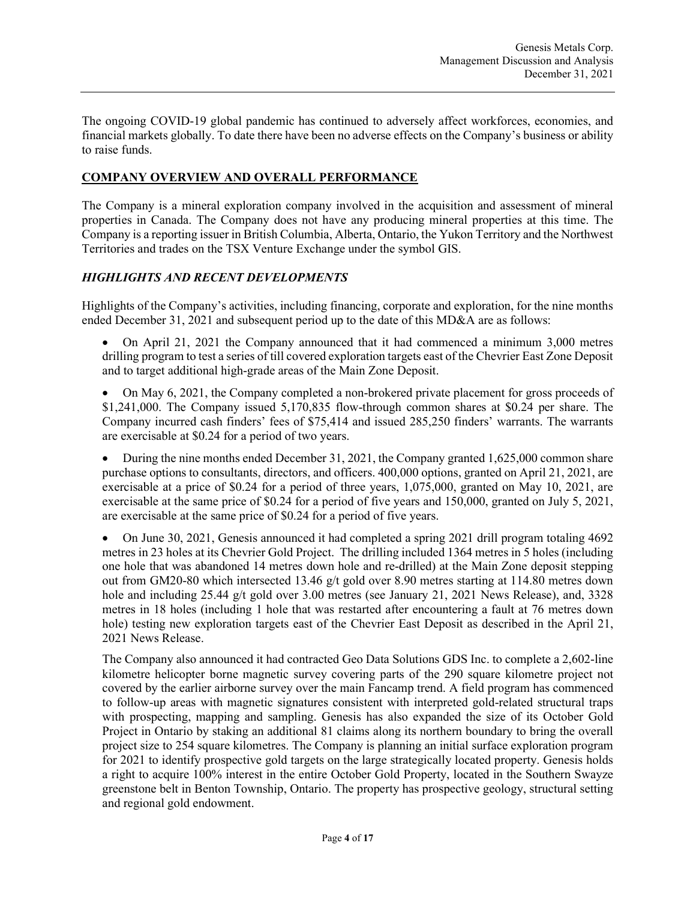The ongoing COVID-19 global pandemic has continued to adversely affect workforces, economies, and financial markets globally. To date there have been no adverse effects on the Company's business or ability to raise funds.

## COMPANY OVERVIEW AND OVERALL PERFORMANCE

The Company is a mineral exploration company involved in the acquisition and assessment of mineral properties in Canada. The Company does not have any producing mineral properties at this time. The Company is a reporting issuer in British Columbia, Alberta, Ontario, the Yukon Territory and the Northwest Territories and trades on the TSX Venture Exchange under the symbol GIS.

# HIGHLIGHTS AND RECENT DEVELOPMENTS

Highlights of the Company's activities, including financing, corporate and exploration, for the nine months ended December 31, 2021 and subsequent period up to the date of this MD&A are as follows:

 On April 21, 2021 the Company announced that it had commenced a minimum 3,000 metres drilling program to test a series of till covered exploration targets east of the Chevrier East Zone Deposit and to target additional high-grade areas of the Main Zone Deposit.

 On May 6, 2021, the Company completed a non-brokered private placement for gross proceeds of \$1,241,000. The Company issued 5,170,835 flow-through common shares at \$0.24 per share. The Company incurred cash finders' fees of \$75,414 and issued 285,250 finders' warrants. The warrants are exercisable at \$0.24 for a period of two years.

• During the nine months ended December 31, 2021, the Company granted  $1,625,000$  common share purchase options to consultants, directors, and officers. 400,000 options, granted on April 21, 2021, are exercisable at a price of \$0.24 for a period of three years, 1,075,000, granted on May 10, 2021, are exercisable at the same price of \$0.24 for a period of five years and 150,000, granted on July 5, 2021, are exercisable at the same price of \$0.24 for a period of five years.

 On June 30, 2021, Genesis announced it had completed a spring 2021 drill program totaling 4692 metres in 23 holes at its Chevrier Gold Project. The drilling included 1364 metres in 5 holes (including one hole that was abandoned 14 metres down hole and re-drilled) at the Main Zone deposit stepping out from GM20-80 which intersected 13.46 g/t gold over 8.90 metres starting at 114.80 metres down hole and including 25.44 g/t gold over 3.00 metres (see January 21, 2021 News Release), and, 3328 metres in 18 holes (including 1 hole that was restarted after encountering a fault at 76 metres down hole) testing new exploration targets east of the Chevrier East Deposit as described in the April 21, 2021 News Release.

The Company also announced it had contracted Geo Data Solutions GDS Inc. to complete a 2,602-line kilometre helicopter borne magnetic survey covering parts of the 290 square kilometre project not covered by the earlier airborne survey over the main Fancamp trend. A field program has commenced to follow-up areas with magnetic signatures consistent with interpreted gold-related structural traps with prospecting, mapping and sampling. Genesis has also expanded the size of its October Gold Project in Ontario by staking an additional 81 claims along its northern boundary to bring the overall project size to 254 square kilometres. The Company is planning an initial surface exploration program for 2021 to identify prospective gold targets on the large strategically located property. Genesis holds a right to acquire 100% interest in the entire October Gold Property, located in the Southern Swayze greenstone belt in Benton Township, Ontario. The property has prospective geology, structural setting and regional gold endowment.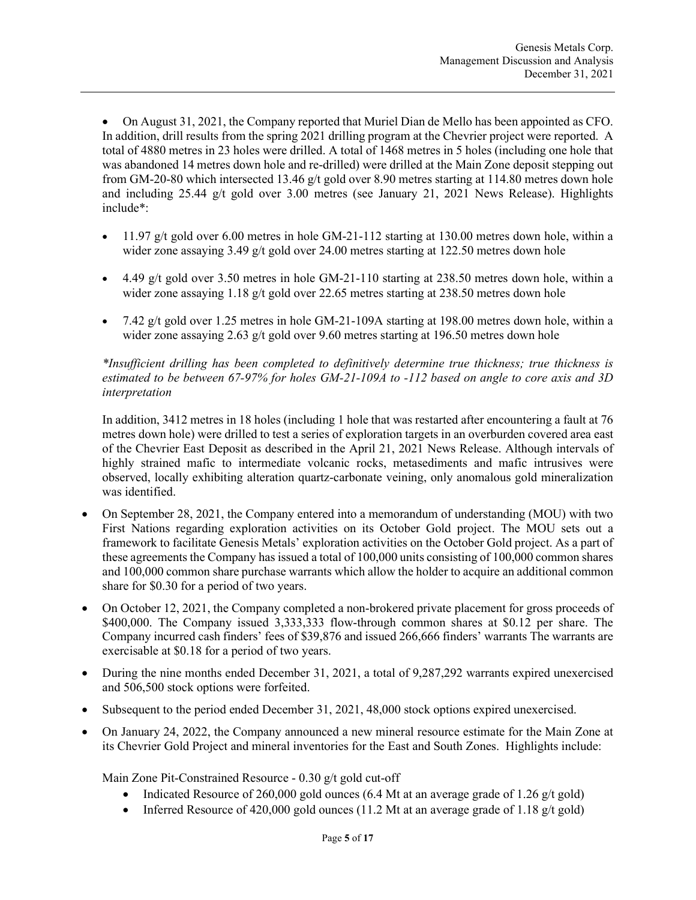On August 31, 2021, the Company reported that Muriel Dian de Mello has been appointed as CFO. In addition, drill results from the spring 2021 drilling program at the Chevrier project were reported. A total of 4880 metres in 23 holes were drilled. A total of 1468 metres in 5 holes (including one hole that was abandoned 14 metres down hole and re-drilled) were drilled at the Main Zone deposit stepping out from GM-20-80 which intersected 13.46 g/t gold over 8.90 metres starting at 114.80 metres down hole and including 25.44 g/t gold over 3.00 metres (see January 21, 2021 News Release). Highlights include\*:

- $11.97$  g/t gold over 6.00 metres in hole GM-21-112 starting at 130.00 metres down hole, within a wider zone assaying 3.49  $g/t$  gold over 24.00 metres starting at 122.50 metres down hole
- 4.49 g/t gold over 3.50 metres in hole GM-21-110 starting at 238.50 metres down hole, within a wider zone assaying 1.18  $g/t$  gold over 22.65 metres starting at 238.50 metres down hole
- $\bullet$  7.42 g/t gold over 1.25 metres in hole GM-21-109A starting at 198.00 metres down hole, within a wider zone assaying 2.63 g/t gold over 9.60 metres starting at 196.50 metres down hole

\*Insufficient drilling has been completed to definitively determine true thickness; true thickness is estimated to be between 67-97% for holes GM-21-109A to -112 based on angle to core axis and 3D interpretation

In addition, 3412 metres in 18 holes (including 1 hole that was restarted after encountering a fault at 76 metres down hole) were drilled to test a series of exploration targets in an overburden covered area east of the Chevrier East Deposit as described in the April 21, 2021 News Release. Although intervals of highly strained mafic to intermediate volcanic rocks, metasediments and mafic intrusives were observed, locally exhibiting alteration quartz-carbonate veining, only anomalous gold mineralization was identified.

- On September 28, 2021, the Company entered into a memorandum of understanding (MOU) with two First Nations regarding exploration activities on its October Gold project. The MOU sets out a framework to facilitate Genesis Metals' exploration activities on the October Gold project. As a part of these agreements the Company has issued a total of 100,000 units consisting of 100,000 common shares and 100,000 common share purchase warrants which allow the holder to acquire an additional common share for \$0.30 for a period of two years.
- On October 12, 2021, the Company completed a non-brokered private placement for gross proceeds of \$400,000. The Company issued 3,333,333 flow-through common shares at \$0.12 per share. The Company incurred cash finders' fees of \$39,876 and issued 266,666 finders' warrants The warrants are exercisable at \$0.18 for a period of two years.
- During the nine months ended December 31, 2021, a total of 9,287,292 warrants expired unexercised and 506,500 stock options were forfeited.
- Subsequent to the period ended December 31, 2021, 48,000 stock options expired unexercised.
- On January 24, 2022, the Company announced a new mineral resource estimate for the Main Zone at its Chevrier Gold Project and mineral inventories for the East and South Zones. Highlights include:

Main Zone Pit-Constrained Resource - 0.30 g/t gold cut-off

- Indicated Resource of 260,000 gold ounces (6.4 Mt at an average grade of 1.26  $g/t$  gold)
- Inferred Resource of 420,000 gold ounces (11.2 Mt at an average grade of 1.18  $g/t$  gold)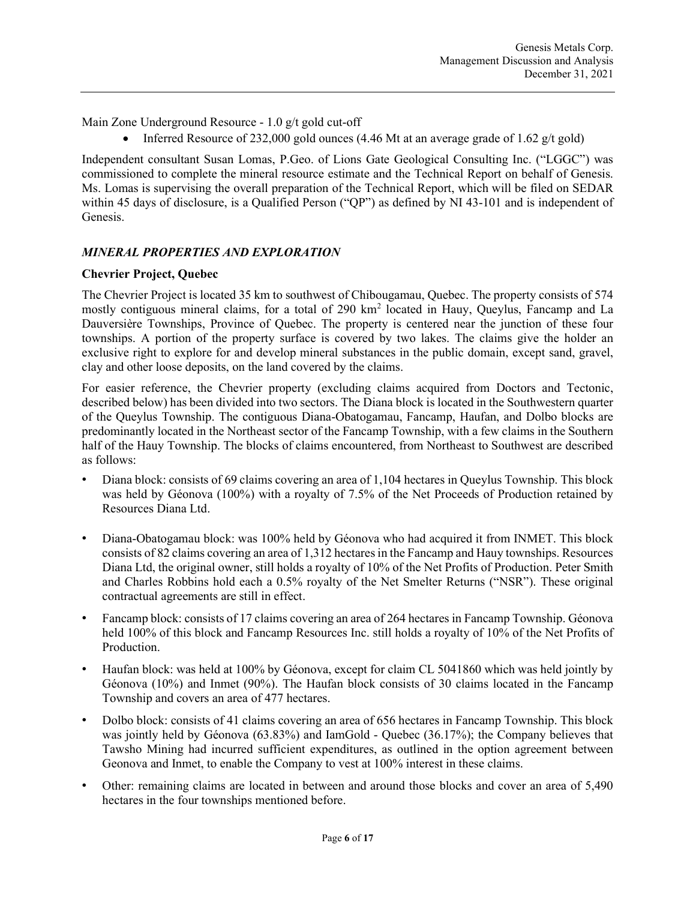Main Zone Underground Resource - 1.0 g/t gold cut-off

• Inferred Resource of 232,000 gold ounces (4.46 Mt at an average grade of 1.62  $g/t$  gold)

Independent consultant Susan Lomas, P.Geo. of Lions Gate Geological Consulting Inc. ("LGGC") was commissioned to complete the mineral resource estimate and the Technical Report on behalf of Genesis. Ms. Lomas is supervising the overall preparation of the Technical Report, which will be filed on SEDAR within 45 days of disclosure, is a Qualified Person ("QP") as defined by NI 43-101 and is independent of Genesis.

# MINERAL PROPERTIES AND EXPLORATION

### Chevrier Project, Quebec

The Chevrier Project is located 35 km to southwest of Chibougamau, Quebec. The property consists of 574 mostly contiguous mineral claims, for a total of 290 km<sup>2</sup> located in Hauy, Queylus, Fancamp and La Dauversière Townships, Province of Quebec. The property is centered near the junction of these four townships. A portion of the property surface is covered by two lakes. The claims give the holder an exclusive right to explore for and develop mineral substances in the public domain, except sand, gravel, clay and other loose deposits, on the land covered by the claims.

For easier reference, the Chevrier property (excluding claims acquired from Doctors and Tectonic, described below) has been divided into two sectors. The Diana block is located in the Southwestern quarter of the Queylus Township. The contiguous Diana-Obatogamau, Fancamp, Haufan, and Dolbo blocks are predominantly located in the Northeast sector of the Fancamp Township, with a few claims in the Southern half of the Hauy Township. The blocks of claims encountered, from Northeast to Southwest are described as follows:

- Diana block: consists of 69 claims covering an area of 1,104 hectares in Queylus Township. This block was held by Géonova (100%) with a royalty of 7.5% of the Net Proceeds of Production retained by Resources Diana Ltd.
- Diana-Obatogamau block: was 100% held by Géonova who had acquired it from INMET. This block consists of 82 claims covering an area of 1,312 hectares in the Fancamp and Hauy townships. Resources Diana Ltd, the original owner, still holds a royalty of 10% of the Net Profits of Production. Peter Smith and Charles Robbins hold each a 0.5% royalty of the Net Smelter Returns ("NSR"). These original contractual agreements are still in effect.
- Fancamp block: consists of 17 claims covering an area of 264 hectares in Fancamp Township. Géonova held 100% of this block and Fancamp Resources Inc. still holds a royalty of 10% of the Net Profits of Production.
- Haufan block: was held at 100% by Géonova, except for claim CL 5041860 which was held jointly by Géonova (10%) and Inmet (90%). The Haufan block consists of 30 claims located in the Fancamp Township and covers an area of 477 hectares.
- Dolbo block: consists of 41 claims covering an area of 656 hectares in Fancamp Township. This block was jointly held by Géonova (63.83%) and IamGold - Quebec (36.17%); the Company believes that Tawsho Mining had incurred sufficient expenditures, as outlined in the option agreement between Geonova and Inmet, to enable the Company to vest at 100% interest in these claims.
- Other: remaining claims are located in between and around those blocks and cover an area of 5,490 hectares in the four townships mentioned before.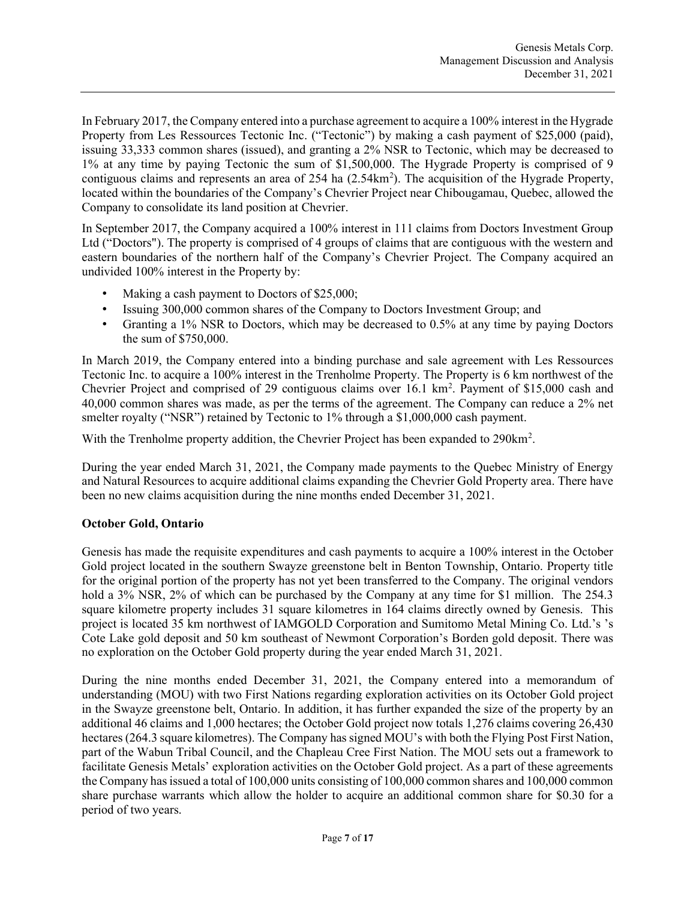In February 2017, the Company entered into a purchase agreement to acquire a 100% interest in the Hygrade Property from Les Ressources Tectonic Inc. ("Tectonic") by making a cash payment of \$25,000 (paid), issuing 33,333 common shares (issued), and granting a 2% NSR to Tectonic, which may be decreased to 1% at any time by paying Tectonic the sum of \$1,500,000. The Hygrade Property is comprised of 9 contiguous claims and represents an area of 254 ha (2.54km<sup>2</sup>). The acquisition of the Hygrade Property, located within the boundaries of the Company's Chevrier Project near Chibougamau, Quebec, allowed the Company to consolidate its land position at Chevrier.

In September 2017, the Company acquired a 100% interest in 111 claims from Doctors Investment Group Ltd ("Doctors"). The property is comprised of 4 groups of claims that are contiguous with the western and eastern boundaries of the northern half of the Company's Chevrier Project. The Company acquired an undivided 100% interest in the Property by:

- Making a cash payment to Doctors of \$25,000;
- Issuing 300,000 common shares of the Company to Doctors Investment Group; and
- Granting a 1% NSR to Doctors, which may be decreased to 0.5% at any time by paying Doctors the sum of \$750,000.

In March 2019, the Company entered into a binding purchase and sale agreement with Les Ressources Tectonic Inc. to acquire a 100% interest in the Trenholme Property. The Property is 6 km northwest of the Chevrier Project and comprised of 29 contiguous claims over 16.1 km<sup>2</sup>. Payment of \$15,000 cash and 40,000 common shares was made, as per the terms of the agreement. The Company can reduce a 2% net smelter royalty ("NSR") retained by Tectonic to 1% through a \$1,000,000 cash payment.

With the Trenholme property addition, the Chevrier Project has been expanded to 290km<sup>2</sup>.

During the year ended March 31, 2021, the Company made payments to the Quebec Ministry of Energy and Natural Resources to acquire additional claims expanding the Chevrier Gold Property area. There have been no new claims acquisition during the nine months ended December 31, 2021.

#### October Gold, Ontario

Genesis has made the requisite expenditures and cash payments to acquire a 100% interest in the October Gold project located in the southern Swayze greenstone belt in Benton Township, Ontario. Property title for the original portion of the property has not yet been transferred to the Company. The original vendors hold a 3% NSR, 2% of which can be purchased by the Company at any time for \$1 million. The 254.3 square kilometre property includes 31 square kilometres in 164 claims directly owned by Genesis. This project is located 35 km northwest of IAMGOLD Corporation and Sumitomo Metal Mining Co. Ltd.'s 's Cote Lake gold deposit and 50 km southeast of Newmont Corporation's Borden gold deposit. There was no exploration on the October Gold property during the year ended March 31, 2021.

During the nine months ended December 31, 2021, the Company entered into a memorandum of understanding (MOU) with two First Nations regarding exploration activities on its October Gold project in the Swayze greenstone belt, Ontario. In addition, it has further expanded the size of the property by an additional 46 claims and 1,000 hectares; the October Gold project now totals 1,276 claims covering 26,430 hectares (264.3 square kilometres). The Company has signed MOU's with both the Flying Post First Nation, part of the Wabun Tribal Council, and the Chapleau Cree First Nation. The MOU sets out a framework to facilitate Genesis Metals' exploration activities on the October Gold project. As a part of these agreements the Company has issued a total of 100,000 units consisting of 100,000 common shares and 100,000 common share purchase warrants which allow the holder to acquire an additional common share for \$0.30 for a period of two years.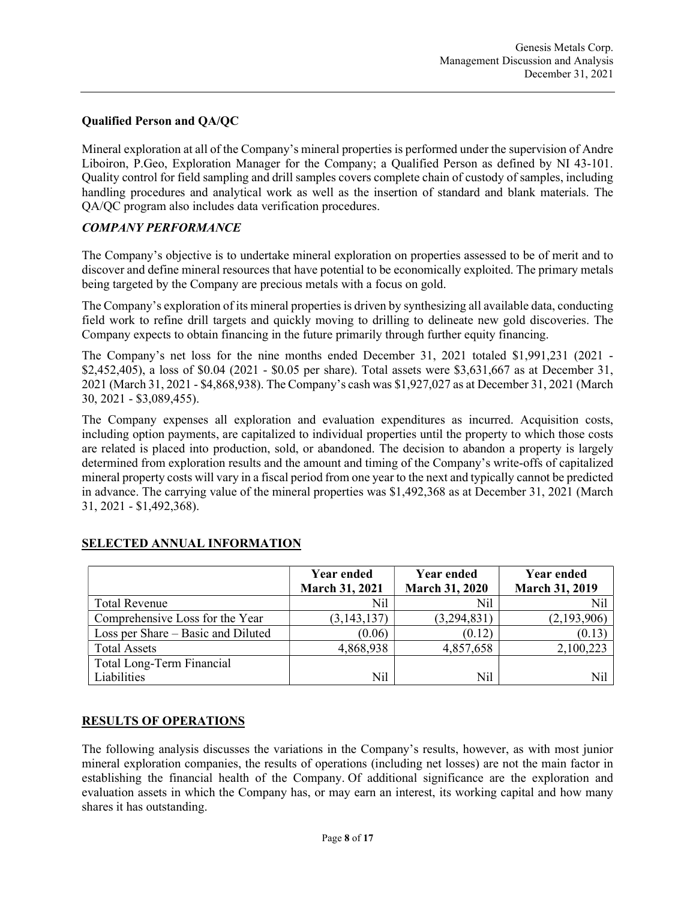### Qualified Person and QA/QC

Mineral exploration at all of the Company's mineral properties is performed under the supervision of Andre Liboiron, P.Geo, Exploration Manager for the Company; a Qualified Person as defined by NI 43-101. Quality control for field sampling and drill samples covers complete chain of custody of samples, including handling procedures and analytical work as well as the insertion of standard and blank materials. The QA/QC program also includes data verification procedures.

### COMPANY PERFORMANCE

The Company's objective is to undertake mineral exploration on properties assessed to be of merit and to discover and define mineral resources that have potential to be economically exploited. The primary metals being targeted by the Company are precious metals with a focus on gold.

The Company's exploration of its mineral properties is driven by synthesizing all available data, conducting field work to refine drill targets and quickly moving to drilling to delineate new gold discoveries. The Company expects to obtain financing in the future primarily through further equity financing.

The Company's net loss for the nine months ended December 31, 2021 totaled \$1,991,231 (2021 -\$2,452,405), a loss of \$0.04 (2021 - \$0.05 per share). Total assets were \$3,631,667 as at December 31, 2021 (March 31, 2021 - \$4,868,938). The Company's cash was \$1,927,027 as at December 31, 2021 (March 30, 2021 - \$3,089,455).

The Company expenses all exploration and evaluation expenditures as incurred. Acquisition costs, including option payments, are capitalized to individual properties until the property to which those costs are related is placed into production, sold, or abandoned. The decision to abandon a property is largely determined from exploration results and the amount and timing of the Company's write-offs of capitalized mineral property costs will vary in a fiscal period from one year to the next and typically cannot be predicted in advance. The carrying value of the mineral properties was \$1,492,368 as at December 31, 2021 (March 31, 2021 - \$1,492,368).

|                                    | Year ended<br><b>March 31, 2021</b> | Year ended<br><b>March 31, 2020</b> | <b>Year ended</b><br><b>March 31, 2019</b> |
|------------------------------------|-------------------------------------|-------------------------------------|--------------------------------------------|
| <b>Total Revenue</b>               | Nil                                 | Nil                                 | Nil                                        |
| Comprehensive Loss for the Year    | (3, 143, 137)                       | (3,294,831)                         | (2,193,906)                                |
| Loss per Share – Basic and Diluted | (0.06)                              | (0.12)                              | (0.13)                                     |
| <b>Total Assets</b>                | 4,868,938                           | 4,857,658                           | 2,100,223                                  |
| Total Long-Term Financial          |                                     |                                     |                                            |
| Liabilities                        | Nil                                 | N <sub>il</sub>                     | Nil                                        |

## SELECTED ANNUAL INFORMATION

#### RESULTS OF OPERATIONS

The following analysis discusses the variations in the Company's results, however, as with most junior mineral exploration companies, the results of operations (including net losses) are not the main factor in establishing the financial health of the Company. Of additional significance are the exploration and evaluation assets in which the Company has, or may earn an interest, its working capital and how many shares it has outstanding.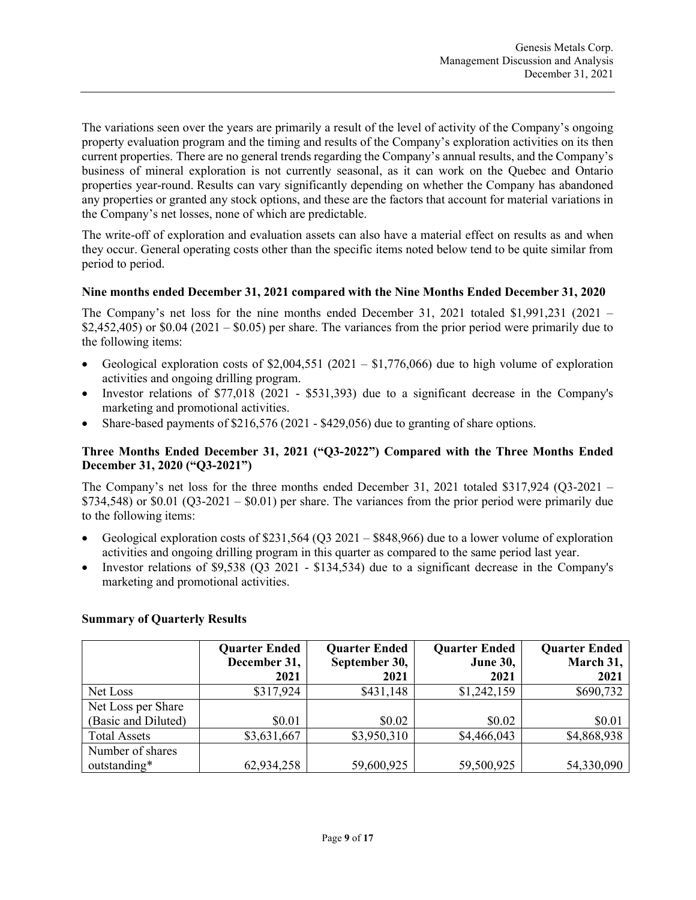The variations seen over the years are primarily a result of the level of activity of the Company's ongoing property evaluation program and the timing and results of the Company's exploration activities on its then current properties. There are no general trends regarding the Company's annual results, and the Company's business of mineral exploration is not currently seasonal, as it can work on the Quebec and Ontario properties year-round. Results can vary significantly depending on whether the Company has abandoned any properties or granted any stock options, and these are the factors that account for material variations in the Company's net losses, none of which are predictable.

The write-off of exploration and evaluation assets can also have a material effect on results as and when they occur. General operating costs other than the specific items noted below tend to be quite similar from period to period.

### Nine months ended December 31, 2021 compared with the Nine Months Ended December 31, 2020

The Company's net loss for the nine months ended December 31, 2021 totaled \$1,991,231 (2021 – \$2,452,405) or \$0.04 (2021 – \$0.05) per share. The variances from the prior period were primarily due to the following items:

- Geological exploration costs of  $$2,004,551 (2021 $1,776,066)$  due to high volume of exploration activities and ongoing drilling program.
- Investor relations of \$77,018 (2021 \$531,393) due to a significant decrease in the Company's marketing and promotional activities.
- Share-based payments of \$216,576 (2021 \$429,056) due to granting of share options.

## Three Months Ended December 31, 2021 ("Q3-2022") Compared with the Three Months Ended December 31, 2020 ("Q3-2021")

The Company's net loss for the three months ended December 31, 2021 totaled \$317,924 (Q3-2021 –  $$734,548$ ) or  $$0.01$  (Q3-2021 –  $$0.01$ ) per share. The variances from the prior period were primarily due to the following items:

- Geological exploration costs of \$231,564 (Q3 2021 \$848,966) due to a lower volume of exploration activities and ongoing drilling program in this quarter as compared to the same period last year.
- Investor relations of \$9,538 (Q3 2021 \$134,534) due to a significant decrease in the Company's marketing and promotional activities.

## Summary of Quarterly Results

|                     | <b>Quarter Ended</b><br>December 31, | <b>Quarter Ended</b><br>September 30, | <b>Quarter Ended</b><br><b>June 30,</b> | <b>Quarter Ended</b><br>March 31, |
|---------------------|--------------------------------------|---------------------------------------|-----------------------------------------|-----------------------------------|
|                     | 2021                                 | 2021                                  | 2021                                    | 2021                              |
| Net Loss            | \$317,924                            | \$431,148                             | \$1,242,159                             | \$690,732                         |
| Net Loss per Share  |                                      |                                       |                                         |                                   |
| (Basic and Diluted) | \$0.01                               | \$0.02                                | \$0.02                                  | \$0.01                            |
| <b>Total Assets</b> | \$3,631,667                          | \$3,950,310                           | \$4,466,043                             | \$4,868,938                       |
| Number of shares    |                                      |                                       |                                         |                                   |
| outstanding*        | 62,934,258                           | 59,600,925                            | 59,500,925                              | 54,330,090                        |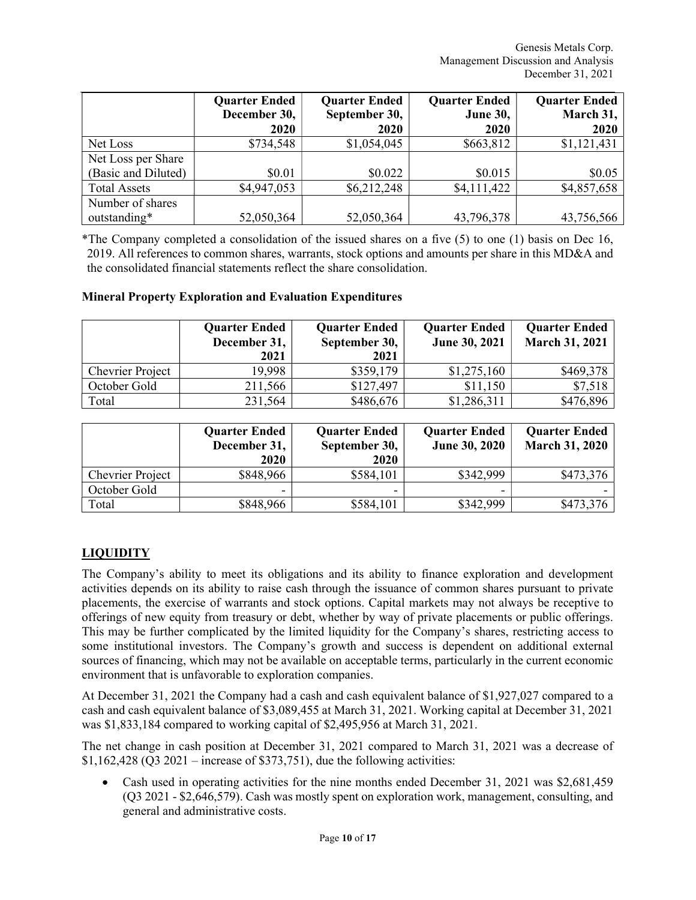|                     | <b>Quarter Ended</b><br>December 30,<br><b>2020</b> | <b>Quarter Ended</b><br>September 30,<br>2020 | <b>Quarter Ended</b><br><b>June 30,</b><br>2020 | <b>Quarter Ended</b><br>March 31,<br>2020 |
|---------------------|-----------------------------------------------------|-----------------------------------------------|-------------------------------------------------|-------------------------------------------|
| Net Loss            | \$734,548                                           | \$1,054,045                                   | \$663,812                                       | \$1,121,431                               |
| Net Loss per Share  |                                                     |                                               |                                                 |                                           |
| (Basic and Diluted) | \$0.01                                              | \$0.022                                       | \$0.015                                         | \$0.05                                    |
| <b>Total Assets</b> | \$4,947,053                                         | \$6,212,248                                   | \$4,111,422                                     | \$4,857,658                               |
| Number of shares    |                                                     |                                               |                                                 |                                           |
| outstanding*        | 52,050,364                                          | 52,050,364                                    | 43,796,378                                      | 43,756,566                                |

\*The Company completed a consolidation of the issued shares on a five (5) to one (1) basis on Dec 16, 2019. All references to common shares, warrants, stock options and amounts per share in this MD&A and the consolidated financial statements reflect the share consolidation.

#### Mineral Property Exploration and Evaluation Expenditures

|                         | <b>Quarter Ended</b><br>December 31,<br>2021 | <b>Quarter Ended</b><br>September 30,<br>2021 | <b>Quarter Ended</b><br><b>June 30, 2021</b> | <b>Quarter Ended</b><br><b>March 31, 2021</b> |
|-------------------------|----------------------------------------------|-----------------------------------------------|----------------------------------------------|-----------------------------------------------|
| <b>Chevrier Project</b> | 19.998                                       | \$359,179                                     | \$1,275,160                                  | \$469,378                                     |
| October Gold            | 211,566                                      | \$127,497                                     | \$11,150                                     | \$7,518                                       |
| Total                   | 231,564                                      | \$486,676                                     | \$1,286,311                                  | \$476,896                                     |

|                         | <b>Quarter Ended</b><br>December 31,<br>2020 | <b>Quarter Ended</b><br>September 30,<br>2020 | <b>Quarter Ended</b><br><b>June 30, 2020</b> | <b>Quarter Ended</b><br><b>March 31, 2020</b> |
|-------------------------|----------------------------------------------|-----------------------------------------------|----------------------------------------------|-----------------------------------------------|
| <b>Chevrier Project</b> | \$848,966                                    | \$584,101                                     | \$342,999                                    | \$473,376                                     |
| October Gold            | $\overline{\phantom{0}}$                     |                                               |                                              |                                               |
| Total                   | \$848,966                                    | \$584,101                                     | \$342,999                                    | \$473,376                                     |

## LIQUIDITY

The Company's ability to meet its obligations and its ability to finance exploration and development activities depends on its ability to raise cash through the issuance of common shares pursuant to private placements, the exercise of warrants and stock options. Capital markets may not always be receptive to offerings of new equity from treasury or debt, whether by way of private placements or public offerings. This may be further complicated by the limited liquidity for the Company's shares, restricting access to some institutional investors. The Company's growth and success is dependent on additional external sources of financing, which may not be available on acceptable terms, particularly in the current economic environment that is unfavorable to exploration companies.

At December 31, 2021 the Company had a cash and cash equivalent balance of \$1,927,027 compared to a cash and cash equivalent balance of \$3,089,455 at March 31, 2021. Working capital at December 31, 2021 was \$1,833,184 compared to working capital of \$2,495,956 at March 31, 2021.

The net change in cash position at December 31, 2021 compared to March 31, 2021 was a decrease of  $$1,162,428$  (Q3 2021 – increase of \$373,751), due the following activities:

 Cash used in operating activities for the nine months ended December 31, 2021 was \$2,681,459 (Q3 2021 - \$2,646,579). Cash was mostly spent on exploration work, management, consulting, and general and administrative costs.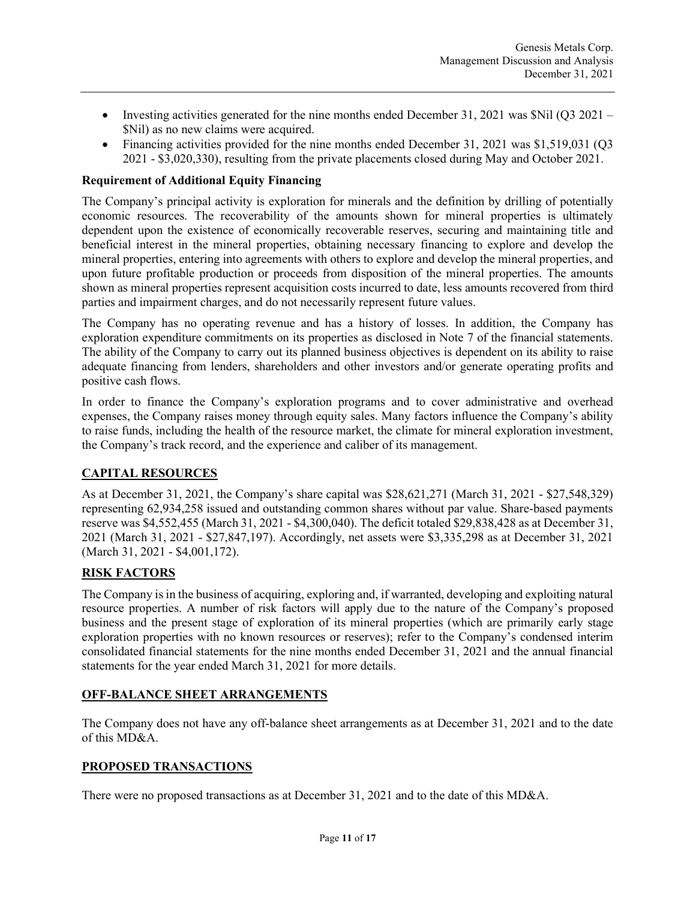- Investing activities generated for the nine months ended December 31, 2021 was  $\text{Nil}$  (Q3 2021 \$Nil) as no new claims were acquired.
- Financing activities provided for the nine months ended December 31, 2021 was \$1,519,031 (Q3) 2021 - \$3,020,330), resulting from the private placements closed during May and October 2021.

### Requirement of Additional Equity Financing

The Company's principal activity is exploration for minerals and the definition by drilling of potentially economic resources. The recoverability of the amounts shown for mineral properties is ultimately dependent upon the existence of economically recoverable reserves, securing and maintaining title and beneficial interest in the mineral properties, obtaining necessary financing to explore and develop the mineral properties, entering into agreements with others to explore and develop the mineral properties, and upon future profitable production or proceeds from disposition of the mineral properties. The amounts shown as mineral properties represent acquisition costs incurred to date, less amounts recovered from third parties and impairment charges, and do not necessarily represent future values.

The Company has no operating revenue and has a history of losses. In addition, the Company has exploration expenditure commitments on its properties as disclosed in Note 7 of the financial statements. The ability of the Company to carry out its planned business objectives is dependent on its ability to raise adequate financing from lenders, shareholders and other investors and/or generate operating profits and positive cash flows.

In order to finance the Company's exploration programs and to cover administrative and overhead expenses, the Company raises money through equity sales. Many factors influence the Company's ability to raise funds, including the health of the resource market, the climate for mineral exploration investment, the Company's track record, and the experience and caliber of its management.

## CAPITAL RESOURCES

As at December 31, 2021, the Company's share capital was \$28,621,271 (March 31, 2021 - \$27,548,329) representing 62,934,258 issued and outstanding common shares without par value. Share-based payments reserve was \$4,552,455 (March 31, 2021 - \$4,300,040). The deficit totaled \$29,838,428 as at December 31, 2021 (March 31, 2021 - \$27,847,197). Accordingly, net assets were \$3,335,298 as at December 31, 2021 (March 31, 2021 - \$4,001,172).

## RISK FACTORS

The Company is in the business of acquiring, exploring and, if warranted, developing and exploiting natural resource properties. A number of risk factors will apply due to the nature of the Company's proposed business and the present stage of exploration of its mineral properties (which are primarily early stage exploration properties with no known resources or reserves); refer to the Company's condensed interim consolidated financial statements for the nine months ended December 31, 2021 and the annual financial statements for the year ended March 31, 2021 for more details.

#### OFF-BALANCE SHEET ARRANGEMENTS

The Company does not have any off-balance sheet arrangements as at December 31, 2021 and to the date of this MD&A.

## PROPOSED TRANSACTIONS

There were no proposed transactions as at December 31, 2021 and to the date of this MD&A.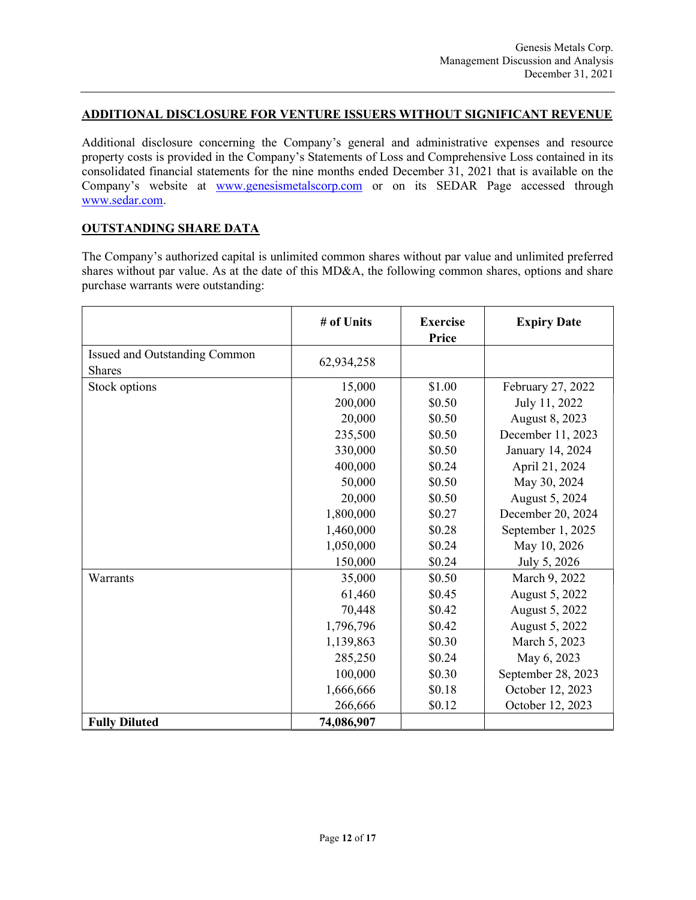#### ADDITIONAL DISCLOSURE FOR VENTURE ISSUERS WITHOUT SIGNIFICANT REVENUE

Additional disclosure concerning the Company's general and administrative expenses and resource property costs is provided in the Company's Statements of Loss and Comprehensive Loss contained in its consolidated financial statements for the nine months ended December 31, 2021 that is available on the Company's website at www.genesismetalscorp.com or on its SEDAR Page accessed through www.sedar.com.

#### OUTSTANDING SHARE DATA

The Company's authorized capital is unlimited common shares without par value and unlimited preferred shares without par value. As at the date of this MD&A, the following common shares, options and share purchase warrants were outstanding:

|                                                | # of Units | <b>Exercise</b><br>Price | <b>Expiry Date</b> |
|------------------------------------------------|------------|--------------------------|--------------------|
| Issued and Outstanding Common<br><b>Shares</b> | 62,934,258 |                          |                    |
| Stock options                                  | 15,000     | \$1.00                   | February 27, 2022  |
|                                                | 200,000    | \$0.50                   | July 11, 2022      |
|                                                | 20,000     | \$0.50                   | August 8, 2023     |
|                                                | 235,500    | \$0.50                   | December 11, 2023  |
|                                                | 330,000    | \$0.50                   | January 14, 2024   |
|                                                | 400,000    | \$0.24                   | April 21, 2024     |
|                                                | 50,000     | \$0.50                   | May 30, 2024       |
|                                                | 20,000     | \$0.50                   | August 5, 2024     |
|                                                | 1,800,000  | \$0.27                   | December 20, 2024  |
|                                                | 1,460,000  | \$0.28                   | September 1, 2025  |
|                                                | 1,050,000  | \$0.24                   | May 10, 2026       |
|                                                | 150,000    | \$0.24                   | July 5, 2026       |
| Warrants                                       | 35,000     | \$0.50                   | March 9, 2022      |
|                                                | 61,460     | \$0.45                   | August 5, 2022     |
|                                                | 70,448     | \$0.42                   | August 5, 2022     |
|                                                | 1,796,796  | \$0.42                   | August 5, 2022     |
|                                                | 1,139,863  | \$0.30                   | March 5, 2023      |
|                                                | 285,250    | \$0.24                   | May 6, 2023        |
|                                                | 100,000    | \$0.30                   | September 28, 2023 |
|                                                | 1,666,666  | \$0.18                   | October 12, 2023   |
|                                                | 266,666    | \$0.12                   | October 12, 2023   |
| <b>Fully Diluted</b>                           | 74,086,907 |                          |                    |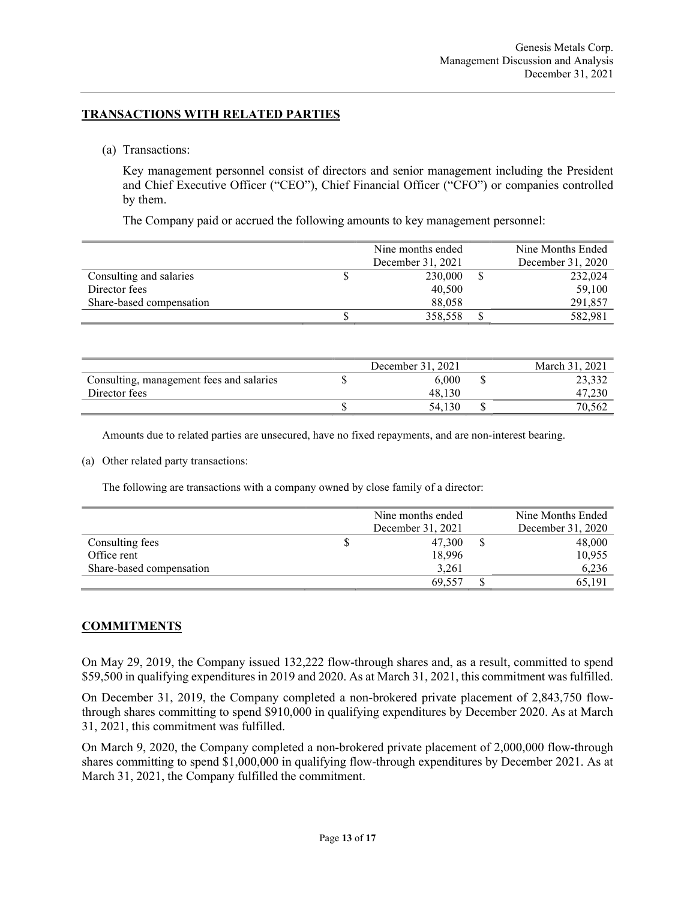### TRANSACTIONS WITH RELATED PARTIES

(a) Transactions:

Key management personnel consist of directors and senior management including the President and Chief Executive Officer ("CEO"), Chief Financial Officer ("CFO") or companies controlled by them.

The Company paid or accrued the following amounts to key management personnel:

|                          | Nine months ended | Nine Months Ended |
|--------------------------|-------------------|-------------------|
|                          | December 31, 2021 | December 31, 2020 |
| Consulting and salaries  | 230,000           | 232,024           |
| Director fees            | 40,500            | 59,100            |
| Share-based compensation | 88,058            | 291,857           |
|                          | 358,558           | 582,981           |

|                                          | December 31, 2021 | March 31, 2021 |
|------------------------------------------|-------------------|----------------|
| Consulting, management fees and salaries | 6.000             | 23,332         |
| Director fees                            | 48.130            | 47,230         |
|                                          | 54.130            | 70,562         |

Amounts due to related parties are unsecured, have no fixed repayments, and are non-interest bearing.

#### (a) Other related party transactions:

The following are transactions with a company owned by close family of a director:

|                          | Nine months ended | Nine Months Ended |
|--------------------------|-------------------|-------------------|
|                          | December 31, 2021 | December 31, 2020 |
| Consulting fees          | 47,300            | 48,000            |
| Office rent              | 18,996            | 10,955            |
| Share-based compensation | 3.261             | 6,236             |
|                          | 69.557            | 65.191            |

#### **COMMITMENTS**

On May 29, 2019, the Company issued 132,222 flow-through shares and, as a result, committed to spend \$59,500 in qualifying expenditures in 2019 and 2020. As at March 31, 2021, this commitment was fulfilled.

On December 31, 2019, the Company completed a non-brokered private placement of 2,843,750 flowthrough shares committing to spend \$910,000 in qualifying expenditures by December 2020. As at March 31, 2021, this commitment was fulfilled.

On March 9, 2020, the Company completed a non‐brokered private placement of 2,000,000 flow-through shares committing to spend \$1,000,000 in qualifying flow-through expenditures by December 2021. As at March 31, 2021, the Company fulfilled the commitment.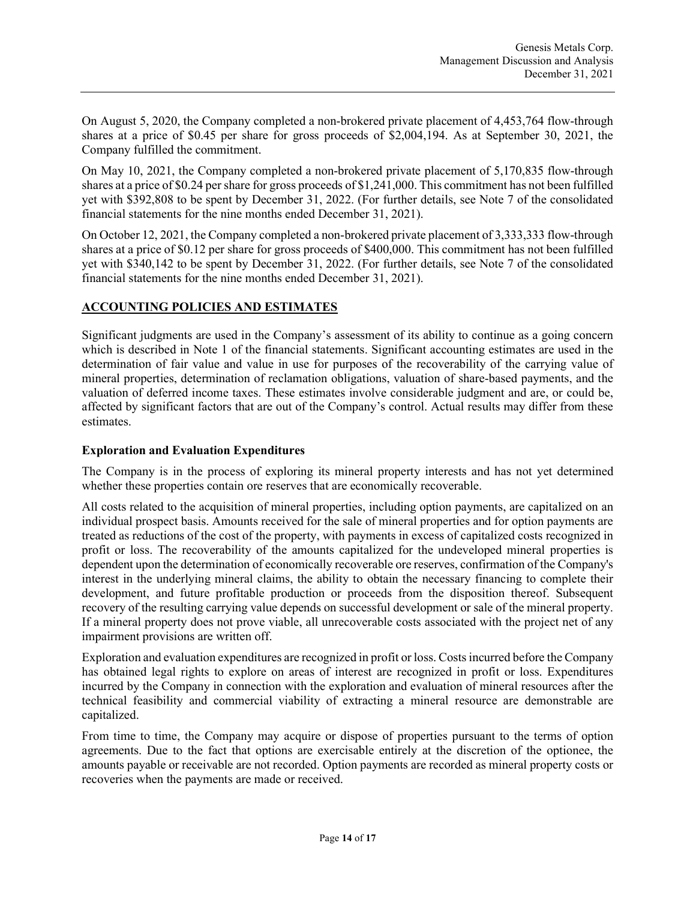On August 5, 2020, the Company completed a non‐brokered private placement of 4,453,764 flow-through shares at a price of \$0.45 per share for gross proceeds of \$2,004,194. As at September 30, 2021, the Company fulfilled the commitment.

On May 10, 2021, the Company completed a non‐brokered private placement of 5,170,835 flow-through shares at a price of \$0.24 per share for gross proceeds of \$1,241,000. This commitment has not been fulfilled yet with \$392,808 to be spent by December 31, 2022. (For further details, see Note 7 of the consolidated financial statements for the nine months ended December 31, 2021).

On October 12, 2021, the Company completed a non‐brokered private placement of 3,333,333 flow-through shares at a price of \$0.12 per share for gross proceeds of \$400,000. This commitment has not been fulfilled yet with \$340,142 to be spent by December 31, 2022. (For further details, see Note 7 of the consolidated financial statements for the nine months ended December 31, 2021).

### ACCOUNTING POLICIES AND ESTIMATES

Significant judgments are used in the Company's assessment of its ability to continue as a going concern which is described in Note 1 of the financial statements. Significant accounting estimates are used in the determination of fair value and value in use for purposes of the recoverability of the carrying value of mineral properties, determination of reclamation obligations, valuation of share-based payments, and the valuation of deferred income taxes. These estimates involve considerable judgment and are, or could be, affected by significant factors that are out of the Company's control. Actual results may differ from these estimates.

#### Exploration and Evaluation Expenditures

The Company is in the process of exploring its mineral property interests and has not yet determined whether these properties contain ore reserves that are economically recoverable.

All costs related to the acquisition of mineral properties, including option payments, are capitalized on an individual prospect basis. Amounts received for the sale of mineral properties and for option payments are treated as reductions of the cost of the property, with payments in excess of capitalized costs recognized in profit or loss. The recoverability of the amounts capitalized for the undeveloped mineral properties is dependent upon the determination of economically recoverable ore reserves, confirmation of the Company's interest in the underlying mineral claims, the ability to obtain the necessary financing to complete their development, and future profitable production or proceeds from the disposition thereof. Subsequent recovery of the resulting carrying value depends on successful development or sale of the mineral property. If a mineral property does not prove viable, all unrecoverable costs associated with the project net of any impairment provisions are written off.

Exploration and evaluation expenditures are recognized in profit or loss. Costs incurred before the Company has obtained legal rights to explore on areas of interest are recognized in profit or loss. Expenditures incurred by the Company in connection with the exploration and evaluation of mineral resources after the technical feasibility and commercial viability of extracting a mineral resource are demonstrable are capitalized.

From time to time, the Company may acquire or dispose of properties pursuant to the terms of option agreements. Due to the fact that options are exercisable entirely at the discretion of the optionee, the amounts payable or receivable are not recorded. Option payments are recorded as mineral property costs or recoveries when the payments are made or received.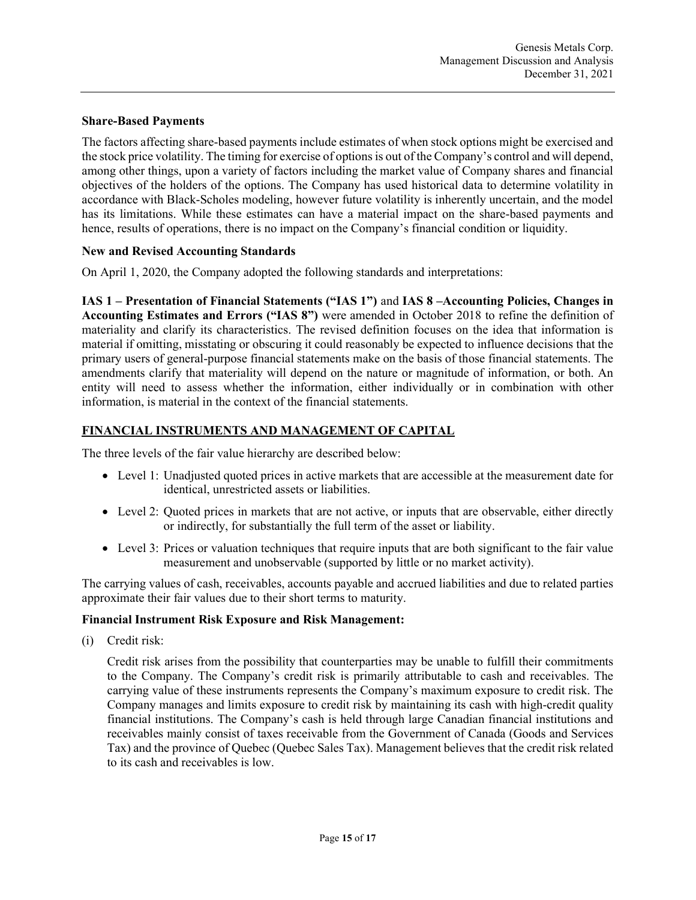#### Share-Based Payments

The factors affecting share-based payments include estimates of when stock options might be exercised and the stock price volatility. The timing for exercise of options is out of the Company's control and will depend, among other things, upon a variety of factors including the market value of Company shares and financial objectives of the holders of the options. The Company has used historical data to determine volatility in accordance with Black-Scholes modeling, however future volatility is inherently uncertain, and the model has its limitations. While these estimates can have a material impact on the share-based payments and hence, results of operations, there is no impact on the Company's financial condition or liquidity.

#### New and Revised Accounting Standards

On April 1, 2020, the Company adopted the following standards and interpretations:

IAS 1 – Presentation of Financial Statements ("IAS 1") and IAS 8 –Accounting Policies, Changes in Accounting Estimates and Errors ("IAS 8") were amended in October 2018 to refine the definition of materiality and clarify its characteristics. The revised definition focuses on the idea that information is material if omitting, misstating or obscuring it could reasonably be expected to influence decisions that the primary users of general-purpose financial statements make on the basis of those financial statements. The amendments clarify that materiality will depend on the nature or magnitude of information, or both. An entity will need to assess whether the information, either individually or in combination with other information, is material in the context of the financial statements.

# FINANCIAL INSTRUMENTS AND MANAGEMENT OF CAPITAL

The three levels of the fair value hierarchy are described below:

- Level 1: Unadjusted quoted prices in active markets that are accessible at the measurement date for identical, unrestricted assets or liabilities.
- Level 2: Quoted prices in markets that are not active, or inputs that are observable, either directly or indirectly, for substantially the full term of the asset or liability.
- Level 3: Prices or valuation techniques that require inputs that are both significant to the fair value measurement and unobservable (supported by little or no market activity).

The carrying values of cash, receivables, accounts payable and accrued liabilities and due to related parties approximate their fair values due to their short terms to maturity.

## Financial Instrument Risk Exposure and Risk Management:

(i) Credit risk:

Credit risk arises from the possibility that counterparties may be unable to fulfill their commitments to the Company. The Company's credit risk is primarily attributable to cash and receivables. The carrying value of these instruments represents the Company's maximum exposure to credit risk. The Company manages and limits exposure to credit risk by maintaining its cash with high-credit quality financial institutions. The Company's cash is held through large Canadian financial institutions and receivables mainly consist of taxes receivable from the Government of Canada (Goods and Services Tax) and the province of Quebec (Quebec Sales Tax). Management believes that the credit risk related to its cash and receivables is low.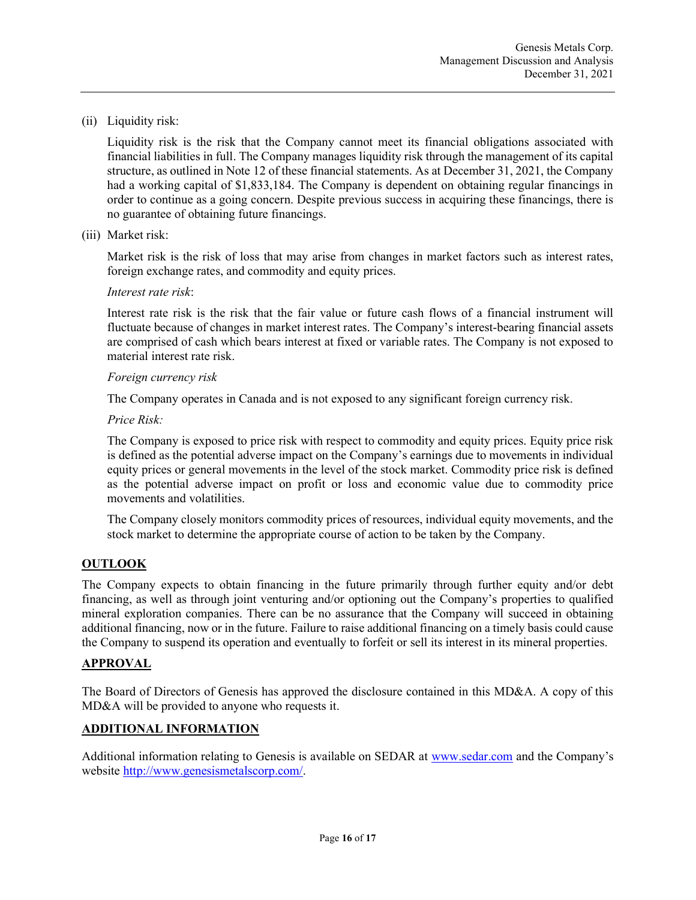(ii) Liquidity risk:

Liquidity risk is the risk that the Company cannot meet its financial obligations associated with financial liabilities in full. The Company manages liquidity risk through the management of its capital structure, as outlined in Note 12 of these financial statements. As at December 31, 2021, the Company had a working capital of \$1,833,184. The Company is dependent on obtaining regular financings in order to continue as a going concern. Despite previous success in acquiring these financings, there is no guarantee of obtaining future financings.

(iii) Market risk:

Market risk is the risk of loss that may arise from changes in market factors such as interest rates, foreign exchange rates, and commodity and equity prices.

### Interest rate risk:

Interest rate risk is the risk that the fair value or future cash flows of a financial instrument will fluctuate because of changes in market interest rates. The Company's interest-bearing financial assets are comprised of cash which bears interest at fixed or variable rates. The Company is not exposed to material interest rate risk.

#### Foreign currency risk

The Company operates in Canada and is not exposed to any significant foreign currency risk.

Price Risk:

The Company is exposed to price risk with respect to commodity and equity prices. Equity price risk is defined as the potential adverse impact on the Company's earnings due to movements in individual equity prices or general movements in the level of the stock market. Commodity price risk is defined as the potential adverse impact on profit or loss and economic value due to commodity price movements and volatilities.

The Company closely monitors commodity prices of resources, individual equity movements, and the stock market to determine the appropriate course of action to be taken by the Company.

## **OUTLOOK**

The Company expects to obtain financing in the future primarily through further equity and/or debt financing, as well as through joint venturing and/or optioning out the Company's properties to qualified mineral exploration companies. There can be no assurance that the Company will succeed in obtaining additional financing, now or in the future. Failure to raise additional financing on a timely basis could cause the Company to suspend its operation and eventually to forfeit or sell its interest in its mineral properties.

#### APPROVAL

The Board of Directors of Genesis has approved the disclosure contained in this MD&A. A copy of this MD&A will be provided to anyone who requests it.

## ADDITIONAL INFORMATION

Additional information relating to Genesis is available on SEDAR at www.sedar.com and the Company's website http://www.genesismetalscorp.com/.